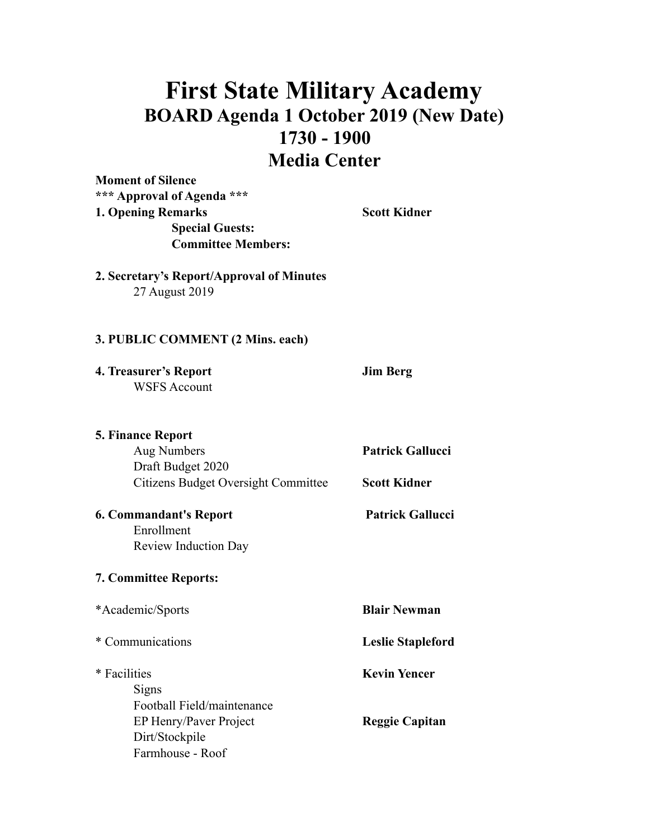## **First State Military Academy BOARD Agenda 1 October 2019 (New Date) 1730 - 1900 Media Center**

**Moment of Silence \*\*\* Approval of Agenda \*\*\* 1. Opening Remarks Scott Kidner Special Guests: Committee Members:** 

**2. Secretary's Report/Approval of Minutes**  27 August 2019

## **3. PUBLIC COMMENT (2 Mins. each)**

**4. Treasurer's Report Jim Berg**  WSFS Account

Farmhouse - Roof

**5. Finance Report**  Aug Numbers **Patrick Gallucci**  Draft Budget 2020 Citizens Budget Oversight Committee **Scott Kidner 6. Commandant's Report Patrick Gallucci**  Enrollment Review Induction Day **7. Committee Reports:**  \*Academic/Sports **Blair Newman** \* Communications **Leslie Stapleford** \* Facilities **Kevin Yencer**  Signs Football Field/maintenance EP Henry/Paver Project **Reggie Capitan**  Dirt/Stockpile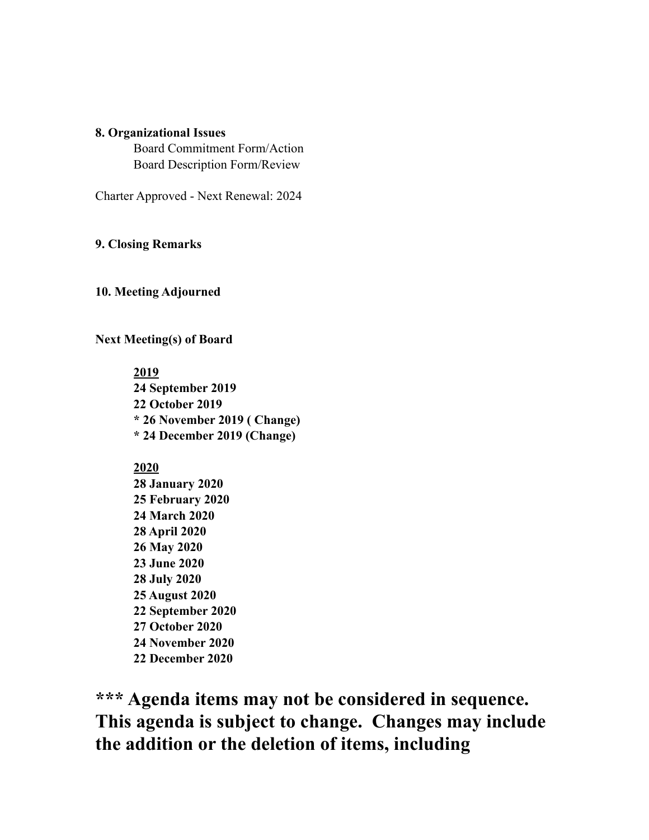## **8. Organizational Issues**

Board Commitment Form/Action Board Description Form/Review

Charter Approved - Next Renewal: 2024

## **9. Closing Remarks**

**10. Meeting Adjourned** 

**Next Meeting(s) of Board** 

**2019 24 September 2019 22 October 2019 \* 26 November 2019 ( Change) \* 24 December 2019 (Change)** 

**\*\*\* Agenda items may not be considered in sequence. This agenda is subject to change. Changes may include the addition or the deletion of items, including**